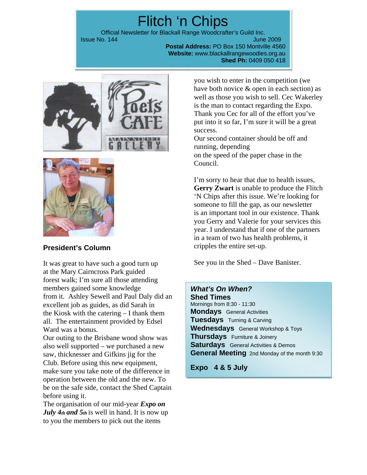# Flitch 'n Chips

Official Newsletter for Blackall Range Woodcrafter's Guild Inc. **Issue No. 144** June 2009 **June 2009** 

**Postal Address:** PO Box 150 Montville 4560 **Website:** www.blackallrangewoodies.org.au **Shed Ph:** 0409 050 418





# **President's Column**

It was great to have such a good turn up at the Mary Cairncross Park guided forest walk; I'm sure all those attending members gained some knowledge from it. Ashley Sewell and Paul Daly did an excellent job as guides, as did Sarah in the Kiosk with the catering – I thank them all. The entertainment provided by Edsel Ward was a bonus.

Our outing to the Brisbane wood show was also well supported – we purchased a new saw, thicknesser and Gifkins jig for the Club. Before using this new equipment, make sure you take note of the difference in operation between the old and the new. To be on the safe side, contact the Shed Captain before using it.

The organisation of our mid-year *Expo on July 4th and 5th* is well in hand. It is now up to you the members to pick out the items

you wish to enter in the competition (we have both novice & open in each section) as well as those you wish to sell. Cec Wakerley is the man to contact regarding the Expo. Thank you Cec for all of the effort you've put into it so far, I'm sure it will be a great success.

Our second container should be off and running, depending on the speed of the paper chase in the Council.

I'm sorry to hear that due to health issues, **Gerry Zwart** is unable to produce the Flitch 'N Chips after this issue. We're looking for someone to fill the gap, as our newsletter is an important tool in our existence. Thank you Gerry and Valerie for your services this year. I understand that if one of the partners in a team of two has health problems, it cripples the entire set-up.

See you in the Shed – Dave Banister.

# *What's On When?*

**Shed Times**  Mornings from 8:30 - 11:30 **Mondays** General Activities **Tuesdays** Turning & Carving **Wednesdays** General Workshop & Toys **Thursdays** Furniture & Joinery **Saturdays** General Activities & Demos **General Meeting** 2nd Monday of the month 9:30

**Expo 4 & 5 July**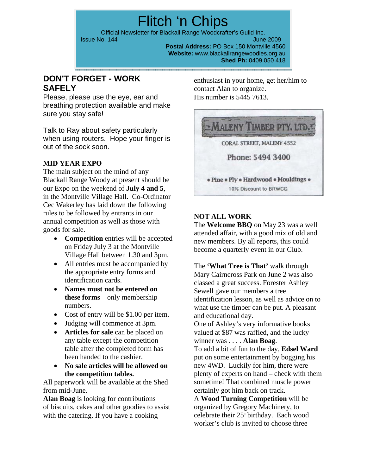Flitch 'n Chips Official Newsletter for Blackall Range Woodcrafter's Guild Inc. **Issue No. 144** June 2009

**Postal Address:** PO Box 150 Montville 4560 **Website:** www.blackallrangewoodies.org.au **Shed Ph:** 0409 050 418

# **DON'T FORGET - WORK SAFELY**

Please, please use the eye, ear and breathing protection available and make sure you stay safe!

Talk to Ray about safety particularly when using routers. Hope your finger is out of the sock soon.

## **MID YEAR EXPO**

The main subject on the mind of any Blackall Range Woody at present should be our Expo on the weekend of **July 4 and 5**, in the Montville Village Hall. Co-Ordinator Cec Wakerley has laid down the following rules to be followed by entrants in our annual competition as well as those with goods for sale.

- **Competition** entries will be accepted on Friday July 3 at the Montville Village Hall between 1.30 and 3pm.
- All entries must be accompanied by the appropriate entry forms and identification cards.
- **Names must not be entered on these forms** – only membership numbers.
- Cost of entry will be \$1.00 per item.
- Judging will commence at 3pm.
- **Articles for sale** can be placed on any table except the competition table after the completed form has been handed to the cashier.
- **No sale articles will be allowed on the competition tables.**

All paperwork will be available at the Shed from mid-June.

**Alan Boag** is looking for contributions of biscuits, cakes and other goodies to assist with the catering. If you have a cooking

enthusiast in your home, get her/him to contact Alan to organize. His number is 5445 7613.



# **NOT ALL WORK**

The **Welcome BBQ** on May 23 was a well attended affair, with a good mix of old and new members. By all reports, this could become a quarterly event in our Club.

The **'What Tree is That'** walk through Mary Cairncross Park on June 2 was also classed a great success. Forester Ashley Sewell gave our members a tree identification lesson, as well as advice on to what use the timber can be put. A pleasant and educational day.

One of Ashley's very informative books valued at \$87 was raffled, and the lucky winner was . . . . **Alan Boag**.

To add a bit of fun to the day, **Edsel Ward**  put on some entertainment by bogging his new 4WD. Luckily for him, there were plenty of experts on hand – check with them sometime! That combined muscle power certainly got him back on track.

A **Wood Turning Competition** will be organized by Gregory Machinery, to celebrate their  $25<sup>th</sup>$  birthday. Each wood worker's club is invited to choose three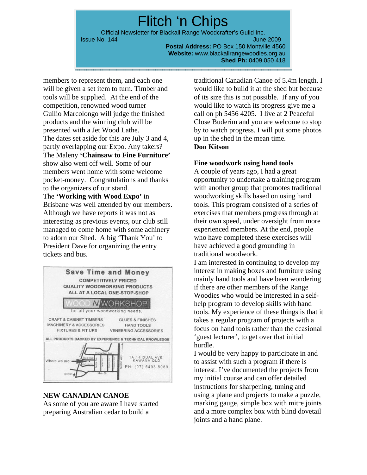Flitch 'n Chips Official Newsletter for Blackall Range Woodcrafter's Guild Inc. **Issue No. 144** June 2009 **June 2009** 

**Postal Address:** PO Box 150 Montville 4560 **Website:** www.blackallrangewoodies.org.au **Shed Ph:** 0409 050 418

members to represent them, and each one will be given a set item to turn. Timber and tools will be supplied. At the end of the competition, renowned wood turner Guilio Marcolongo will judge the finished products and the winning club will be presented with a Jet Wood Lathe. The dates set aside for this are July 3 and 4, partly overlapping our Expo. Any takers? The Maleny **'Chainsaw to Fine Furniture'**  show also went off well. Some of our members went home with some welcome pocket-money. Congratulations and thanks to the organizers of our stand. The **'Working with Wood Expo'** in Brisbane was well attended by our members.

Although we have reports it was not as interesting as previous events, our club still managed to come home with some achinery to adorn our Shed. A big 'Thank You' to President Dave for organizing the entry tickets and bus.



#### **NEW CANADIAN CANOE**

As some of you are aware I have started preparing Australian cedar to build a

traditional Canadian Canoe of 5.4m length. I would like to build it at the shed but because of its size this is not possible. If any of you would like to watch its progress give me a call on ph 5456 4205. I live at 2 Peaceful Close Buderim and you are welcome to stop by to watch progress. I will put some photos up in the shed in the mean time. **Don Kitson** 

#### **Fine woodwork using hand tools**

A couple of years ago, I had a great opportunity to undertake a training program with another group that promotes traditional woodworking skills based on using hand tools. This program consisted of a series of exercises that members progress through at their own speed, under oversight from more experienced members. At the end, people who have completed these exercises will have achieved a good grounding in traditional woodwork.

I am interested in continuing to develop my interest in making boxes and furniture using mainly hand tools and have been wondering if there are other members of the Range Woodies who would be interested in a selfhelp program to develop skills with hand tools. My experience of these things is that it takes a regular program of projects with a focus on hand tools rather than the ccasional 'guest lecturer', to get over that initial hurdle.

I would be very happy to participate in and to assist with such a program if there is interest. I've documented the projects from my initial course and can offer detailed instructions for sharpening, tuning and using a plane and projects to make a puzzle, marking gauge, simple box with mitre joints and a more complex box with blind dovetail joints and a hand plane.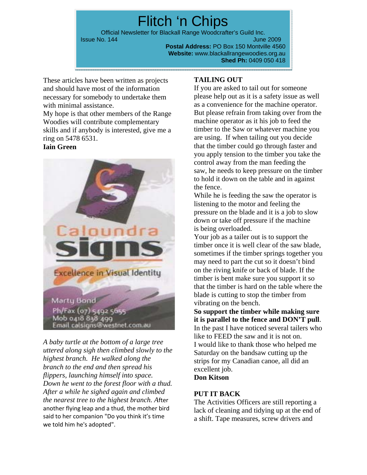Flitch 'n Chips Official Newsletter for Blackall Range Woodcrafter's Guild Inc. **Issue No. 144** June 2009 **June 2009 Postal Address:** PO Box 150 Montville 4560 **Website:** www.blackallrangewoodies.org.au

**Shed Ph:** 0409 050 418

These articles have been written as projects and should have most of the information necessary for somebody to undertake them with minimal assistance.

My hope is that other members of the Range Woodies will contribute complementary skills and if anybody is interested, give me a ring on 5478 6531.

## **Iain Green**



*A baby turtle at the bottom of a large tree uttered along sigh then climbed slowly to the highest branch. He walked along the branch to the end and then spread his flippers, launching himself into space. Down he went to the forest floor with a thud. After a while he sighed again and climbed the nearest tree to the highest branch. A*fter another flying leap and a thud, the mother bird said to her companion "Do you think it's time we told him he's adopted".

## **TAILING OUT**

If you are asked to tail out for someone please help out as it is a safety issue as well as a convenience for the machine operator. But please refrain from taking over from the machine operator as it his job to feed the timber to the Saw or whatever machine you are using. If when tailing out you decide that the timber could go through faster and you apply tension to the timber you take the control away from the man feeding the saw, he needs to keep pressure on the timber to hold it down on the table and in against the fence.

While he is feeding the saw the operator is listening to the motor and feeling the pressure on the blade and it is a job to slow down or take off pressure if the machine is being overloaded.

Your job as a tailer out is to support the timber once it is well clear of the saw blade, sometimes if the timber springs together you may need to part the cut so it doesn't bind on the riving knife or back of blade. If the timber is bent make sure you support it so that the timber is hard on the table where the blade is cutting to stop the timber from vibrating on the bench.

**So support the timber while making sure it is parallel to the fence and DON'T pull**.

In the past I have noticed several tailers who like to FEED the saw and it is not on. I would like to thank those who helped me Saturday on the bandsaw cutting up the strips for my Canadian canoe, all did an excellent job.

# **Don Kitson**

## **PUT IT BACK**

The Activities Officers are still reporting a lack of cleaning and tidying up at the end of a shift. Tape measures, screw drivers and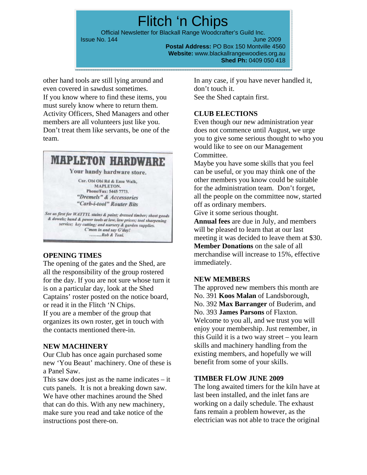Flitch 'n Chips Official Newsletter for Blackall Range Woodcrafter's Guild Inc. **Issue No. 144** June 2009 **June 2009** 

**Postal Address:** PO Box 150 Montville 4560 **Website:** www.blackallrangewoodies.org.au **Shed Ph:** 0409 050 418

other hand tools are still lying around and even covered in sawdust sometimes. If you know where to find these items, you must surely know where to return them. Activity Officers, Shed Managers and other members are all volunteers just like you. Don't treat them like servants, be one of the team.



#### **OPENING TIMES**

The opening of the gates and the Shed, are all the responsibility of the group rostered for the day. If you are not sure whose turn it is on a particular day, look at the Shed Captains' roster posted on the notice board, or read it in the Flitch 'N Chips. If you are a member of the group that organizes its own roster, get in touch with the contacts mentioned there-in.

#### **NEW MACHINERY**

Our Club has once again purchased some new 'You Beaut' machinery. One of these is a Panel Saw.

This saw does just as the name indicates  $-$  it cuts panels. It is not a breaking down saw. We have other machines around the Shed that can do this. With any new machinery, make sure you read and take notice of the instructions post there-on.

In any case, if you have never handled it, don't touch it. See the Shed captain first.

#### **CLUB ELECTIONS**

Even though our new administration year does not commence until August, we urge you to give some serious thought to who you would like to see on our Management Committee.

Maybe you have some skills that you feel can be useful, or you may think one of the other members you know could be suitable for the administration team. Don't forget, all the people on the committee now, started off as ordinary members.

Give it some serious thought.

**Annual fees** are due in July, and members will be pleased to learn that at our last meeting it was decided to leave them at \$30. **Member Donations** on the sale of all merchandise will increase to 15%, effective immediately.

#### **NEW MEMBERS**

The approved new members this month are No. 391 **Koos Malan** of Landsborough, No. 392 **Max Barranger** of Buderim, and No. 393 **James Parsons** of Flaxton. Welcome to you all, and we trust you will enjoy your membership. Just remember, in this Guild it is a two way street – you learn skills and machinery handling from the existing members, and hopefully we will benefit from some of your skills.

#### **TIMBER FLOW JUNE 2009**

The long awaited timers for the kiln have at last been installed, and the inlet fans are working on a daily schedule. The exhaust fans remain a problem however, as the electrician was not able to trace the original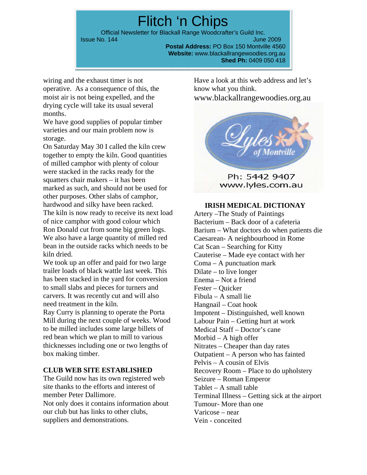Flitch 'n Chips Official Newsletter for Blackall Range Woodcrafter's Guild Inc. **Issue No. 144** June 2009 **June 2009** 

**Postal Address:** PO Box 150 Montville 4560 **Website:** www.blackallrangewoodies.org.au **Shed Ph:** 0409 050 418

wiring and the exhaust timer is not operative. As a consequence of this, the moist air is not being expelled, and the drying cycle will take its usual several months.

We have good supplies of popular timber varieties and our main problem now is storage.

On Saturday May 30 I called the kiln crew together to empty the kiln. Good quantities of milled camphor with plenty of colour were stacked in the racks ready for the squatters chair makers – it has been marked as such, and should not be used for other purposes. Other slabs of camphor, hardwood and silky have been racked. The kiln is now ready to receive its next load of nice camphor with good colour which Ron Donald cut from some big green logs. We also have a large quantity of milled red bean in the outside racks which needs to be kiln dried.

We took up an offer and paid for two large trailer loads of black wattle last week. This has been stacked in the yard for conversion to small slabs and pieces for turners and carvers. It was recently cut and will also need treatment in the kiln.

Ray Curry is planning to operate the Porta Mill during the next couple of weeks. Wood to be milled includes some large billets of red bean which we plan to mill to various thicknesses including one or two lengths of box making timber.

#### **CLUB WEB SITE ESTABLISHED**

The Guild now has its own registered web site thanks to the efforts and interest of member Peter Dallimore. Not only does it contains information about our club but has links to other clubs, suppliers and demonstrations.

Have a look at this web address and let's know what you think. www.blackallrangewoodies.org.au



Ph: 5442 9407 www.lyles.com.au

#### **IRISH MEDICAL DICTIONAY**

Artery –The Study of Paintings Bacterium – Back door of a cafeteria Barium – What doctors do when patients die Caesarean- A neighbourhood in Rome Cat Scan – Searching for Kitty Cauterise – Made eye contact with her Coma – A punctuation mark Dilate – to live longer Enema – Not a friend Fester – Quicker Fibula – A small lie Hangnail – Coat hook Impotent – Distinguished, well known Labour Pain – Getting hurt at work Medical Staff – Doctor's cane Morbid – A high offer Nitrates – Cheaper than day rates Outpatient – A person who has fainted Pelvis – A cousin of Elvis Recovery Room – Place to do upholstery Seizure – Roman Emperor Tablet – A small table Terminal Illness – Getting sick at the airport Tumour- More than one Varicose – near Vein - conceited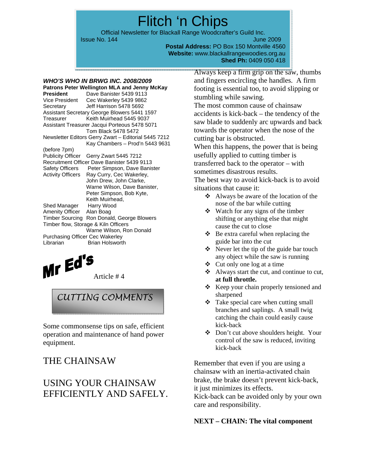Flitch 'n Chips

Official Newsletter for Blackall Range Woodcrafter's Guild Inc.

**Issue No. 144** June 2009 **June 2009 Postal Address:** PO Box 150 Montville 4560 **Website:** www.blackallrangewoodies.org.au **Shed Ph:** 0409 050 418

# *WHO'S WHO IN BRWG INC. 2008/2009*

**Patrons Peter Wellington MLA and Jenny McKay President** Dave Banister 5439 9113 Vice President Cec Wakerley 5439 9862 Secretary Jeff Harrison 5478 5692 Assistant Secretary George Blowers 5441 1597 Treasurer Keith Muirhead 5445 9037 Assistant Treasurer Jacqui Porteous 5478 5071 Tom Black 5478 5472 Newsletter Editors Gerry Zwart – Editorial 5445 7212 Kay Chambers – Prod'n 5443 9631 (before 7pm) Publicity Officer Gerry Zwart 5445 7212 Recruitment Officer Dave Banister 5439 9113 Safety Officers Peter Simpson, Dave Banister<br>Activity Officers Ray Curry, Cec Wakerley, Ray Curry, Cec Wakerley, John Drew, John Clarke, Warne Wilson, Dave Banister, Peter Simpson, Bob Kyte, Keith Muirhead, Shed Manager Harry Wood Amenity Officer Alan Boag Timber Sourcing Ron Donald, George Blowers Timber flow, Storage & Kiln Officers Warne Wilson, Ron Donald Purchasing Officer Cec Wakerley Librarian Brian Holsworth

 $MrEd^5$  Article # 4

# *CUTTING COMMENTS*

Some commonsense tips on safe, efficient operation and maintenance of hand power equipment.

# THE CHAINSAW

# USING YOUR CHAINSAW EFFICIENTLY AND SAFELY.

Always keep a firm grip on the saw, thumbs and fingers encircling the handles. A firm footing is essential too, to avoid slipping or stumbling while sawing.

The most common cause of chainsaw accidents is kick-back – the tendency of the saw blade to suddenly arc upwards and back towards the operator when the nose of the cutting bar is obstructed.

When this happens, the power that is being usefully applied to cutting timber is transferred back to the operator – with sometimes disastrous results.

The best way to avoid kick-back is to avoid situations that cause it:

- $\triangleleft$  Always be aware of the location of the nose of the bar while cutting
- $\bullet$  Watch for any signs of the timber shifting or anything else that might cause the cut to close
- $\triangle$  Be extra careful when replacing the guide bar into the cut
- Never let the tip of the guide bar touch any object while the saw is running
- $\triangleleft$  Cut only one log at a time
- $\triangleleft$  Always start the cut, and continue to cut, **at full throttle.**
- \* Keep your chain properly tensioned and sharpened
- $\triangleleft$  Take special care when cutting small branches and saplings. A small twig catching the chain could easily cause kick-back
- Don't cut above shoulders height. Your control of the saw is reduced, inviting kick-back

Remember that even if you are using a chainsaw with an inertia-activated chain brake, the brake doesn't prevent kick-back, it just minimizes its effects.

Kick-back can be avoided only by your own care and responsibility.

#### **NEXT – CHAIN: The vital component**